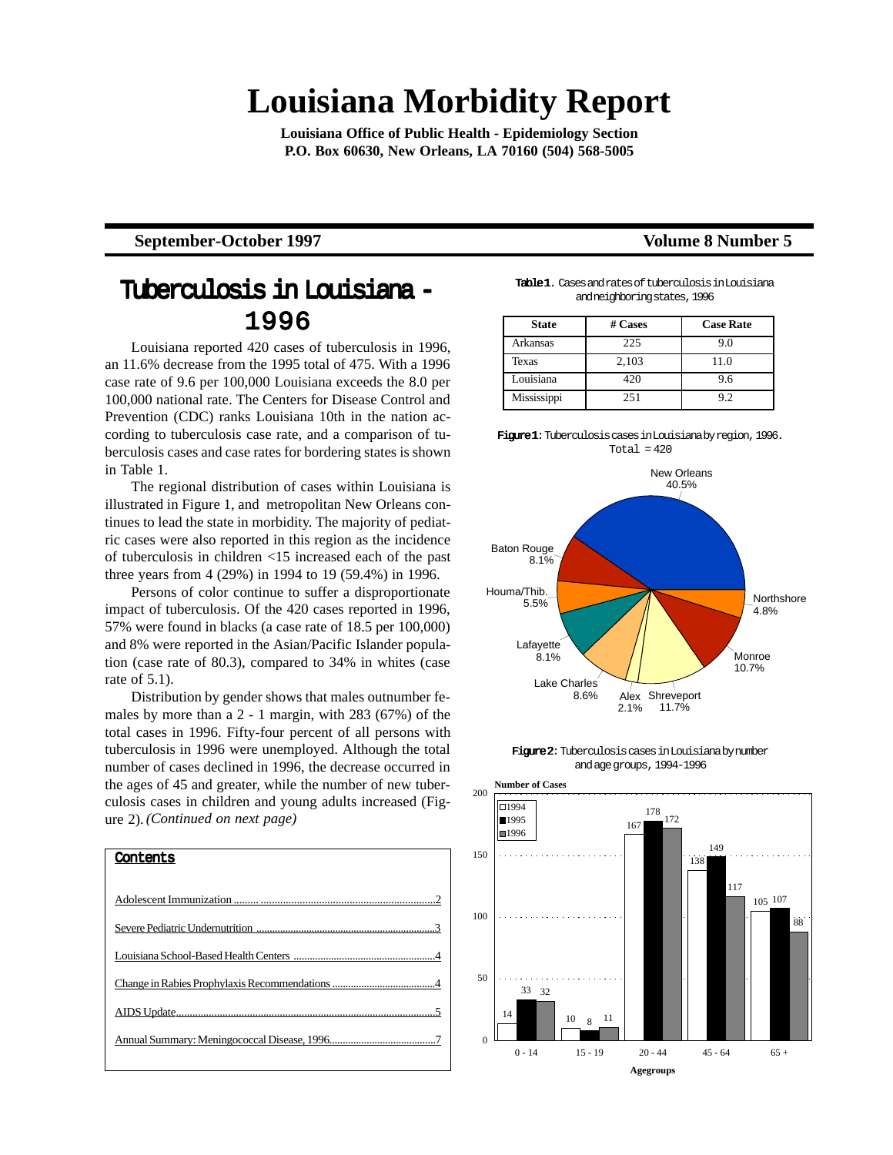# **Louisiana Morbidity Report**

**Louisiana Office of Public Health - Epidemiology Section P.O. Box 60630, New Orleans, LA 70160 (504) 568-5005**

#### **September-October 1997** Volume 8 Number 5

### Tuberculosis in Louisiana - 1996

Louisiana reported 420 cases of tuberculosis in 1996, an 11.6% decrease from the 1995 total of 475. With a 1996 case rate of 9.6 per 100,000 Louisiana exceeds the 8.0 per 100,000 national rate. The Centers for Disease Control and Prevention (CDC) ranks Louisiana 10th in the nation according to tuberculosis case rate, and a comparison of tuberculosis cases and case rates for bordering states is shown in Table 1.

The regional distribution of cases within Louisiana is illustrated in Figure 1, and metropolitan New Orleans continues to lead the state in morbidity. The majority of pediatric cases were also reported in this region as the incidence of tuberculosis in children <15 increased each of the past three years from 4 (29%) in 1994 to 19 (59.4%) in 1996.

Persons of color continue to suffer a disproportionate impact of tuberculosis. Of the 420 cases reported in 1996, 57% were found in blacks (a case rate of 18.5 per 100,000) and 8% were reported in the Asian/Pacific Islander population (case rate of 80.3), compared to 34% in whites (case rate of 5.1).

Distribution by gender shows that males outnumber females by more than a 2 - 1 margin, with 283 (67%) of the total cases in 1996. Fifty-four percent of all persons with tuberculosis in 1996 were unemployed. Although the total number of cases declined in 1996, the decrease occurred in the ages of 45 and greater, while the number of new tuberculosis cases in children and young adults increased (Figure 2). *(Continued on next page)*



Table 1.Cases and rates of tuberculosis in Louisiana and neighboring states, 1996

| <b>State</b> | # Cases | <b>Case Rate</b> |
|--------------|---------|------------------|
| Arkansas     | 225     | 9.0              |
| <b>Texas</b> | 2,103   | 11.0             |
| Louisiana    | 420     | 9.6              |
| Mississippi  | 251     | 92               |







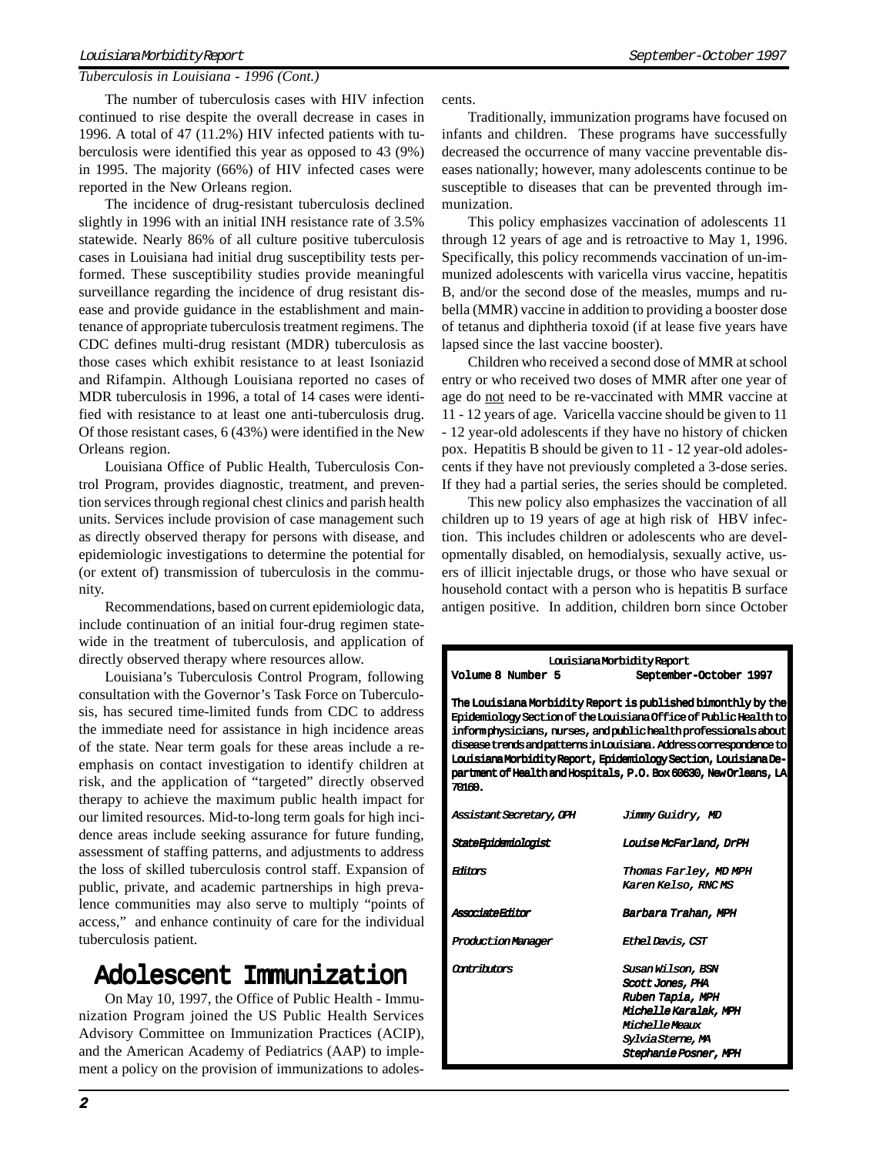#### Louisiana Morbidity Report September-October 1997

#### *Tuberculosis in Louisiana - 1996 (Cont.)*

The number of tuberculosis cases with HIV infection continued to rise despite the overall decrease in cases in 1996. A total of 47 (11.2%) HIV infected patients with tuberculosis were identified this year as opposed to 43 (9%) in 1995. The majority (66%) of HIV infected cases were reported in the New Orleans region.

The incidence of drug-resistant tuberculosis declined slightly in 1996 with an initial INH resistance rate of 3.5% statewide. Nearly 86% of all culture positive tuberculosis cases in Louisiana had initial drug susceptibility tests performed. These susceptibility studies provide meaningful surveillance regarding the incidence of drug resistant disease and provide guidance in the establishment and maintenance of appropriate tuberculosis treatment regimens. The CDC defines multi-drug resistant (MDR) tuberculosis as those cases which exhibit resistance to at least Isoniazid and Rifampin. Although Louisiana reported no cases of MDR tuberculosis in 1996, a total of 14 cases were identified with resistance to at least one anti-tuberculosis drug. Of those resistant cases, 6 (43%) were identified in the New Orleans region.

Louisiana Office of Public Health, Tuberculosis Control Program, provides diagnostic, treatment, and prevention services through regional chest clinics and parish health units. Services include provision of case management such as directly observed therapy for persons with disease, and epidemiologic investigations to determine the potential for (or extent of) transmission of tuberculosis in the community.

Recommendations, based on current epidemiologic data, include continuation of an initial four-drug regimen statewide in the treatment of tuberculosis, and application of directly observed therapy where resources allow.

Louisiana's Tuberculosis Control Program, following consultation with the Governor's Task Force on Tuberculosis, has secured time-limited funds from CDC to address the immediate need for assistance in high incidence areas of the state. Near term goals for these areas include a reemphasis on contact investigation to identify children at risk, and the application of "targeted" directly observed therapy to achieve the maximum public health impact for our limited resources. Mid-to-long term goals for high incidence areas include seeking assurance for future funding, assessment of staffing patterns, and adjustments to address the loss of skilled tuberculosis control staff. Expansion of public, private, and academic partnerships in high prevalence communities may also serve to multiply "points of access," and enhance continuity of care for the individual tuberculosis patient.

### Adolescent Immunization

On May 10, 1997, the Office of Public Health - Immunization Program joined the US Public Health Services Advisory Committee on Immunization Practices (ACIP), and the American Academy of Pediatrics (AAP) to implement a policy on the provision of immunizations to adolescents.

Traditionally, immunization programs have focused on infants and children. These programs have successfully decreased the occurrence of many vaccine preventable diseases nationally; however, many adolescents continue to be susceptible to diseases that can be prevented through immunization.

This policy emphasizes vaccination of adolescents 11 through 12 years of age and is retroactive to May 1, 1996. Specifically, this policy recommends vaccination of un-immunized adolescents with varicella virus vaccine, hepatitis B, and/or the second dose of the measles, mumps and rubella (MMR) vaccine in addition to providing a booster dose of tetanus and diphtheria toxoid (if at lease five years have lapsed since the last vaccine booster).

Children who received a second dose of MMR at school entry or who received two doses of MMR after one year of age do not need to be re-vaccinated with MMR vaccine at 11 - 12 years of age. Varicella vaccine should be given to 11 - 12 year-old adolescents if they have no history of chicken pox. Hepatitis B should be given to 11 - 12 year-old adolescents if they have not previously completed a 3-dose series. If they had a partial series, the series should be completed.

This new policy also emphasizes the vaccination of all children up to 19 years of age at high risk of HBV infection. This includes children or adolescents who are developmentally disabled, on hemodialysis, sexually active, users of illicit injectable drugs, or those who have sexual or household contact with a person who is hepatitis B surface antigen positive. In addition, children born since October

| Louisiana Morbidity Report                                                 |                                                                  |  |  |  |  |  |  |  |
|----------------------------------------------------------------------------|------------------------------------------------------------------|--|--|--|--|--|--|--|
| Volume 8 Number 5                                                          | September-October 1997                                           |  |  |  |  |  |  |  |
|                                                                            |                                                                  |  |  |  |  |  |  |  |
|                                                                            | The Louisiana Morbidity Report is published bimonthly by the     |  |  |  |  |  |  |  |
|                                                                            | Epidemiology Section of the Louisiana Office of Public Health to |  |  |  |  |  |  |  |
| informphysicians, nurses, and public health professionals about            |                                                                  |  |  |  |  |  |  |  |
| <u>disease trends and patterns in Louisiana. Address correspondence to</u> |                                                                  |  |  |  |  |  |  |  |
| Louisiana Morbidity Report, Epidemiology Section, Louisiana De-            |                                                                  |  |  |  |  |  |  |  |
| partment of Health and Hospitals, P.O. Box 60630, New Orleans, LA          |                                                                  |  |  |  |  |  |  |  |
| 70160.                                                                     |                                                                  |  |  |  |  |  |  |  |
|                                                                            |                                                                  |  |  |  |  |  |  |  |
| Assistant Secretary, OPH                                                   | Jimmy Guidry, MD                                                 |  |  |  |  |  |  |  |
|                                                                            |                                                                  |  |  |  |  |  |  |  |
| StateEpidemiologist                                                        | <i><b>Louise McFarland, DrPH</b></i>                             |  |  |  |  |  |  |  |
|                                                                            |                                                                  |  |  |  |  |  |  |  |
| <b>Editors</b>                                                             | Thomas Farley, MD MPH                                            |  |  |  |  |  |  |  |
|                                                                            | Karen Kelso, RNC MS                                              |  |  |  |  |  |  |  |
| AssociateEditor                                                            | Barbara Trahan , MPH                                             |  |  |  |  |  |  |  |
|                                                                            |                                                                  |  |  |  |  |  |  |  |
| <b>Production Manager</b>                                                  | Ethel Davis, CST                                                 |  |  |  |  |  |  |  |
|                                                                            |                                                                  |  |  |  |  |  |  |  |
| <i><b>Ontribions</b></i>                                                   | Susan Wilson, BSN                                                |  |  |  |  |  |  |  |
|                                                                            | Scott Jones, PHA                                                 |  |  |  |  |  |  |  |
|                                                                            | Ruben Tapia, MPH                                                 |  |  |  |  |  |  |  |
|                                                                            | Michelle Karalak, MPH                                            |  |  |  |  |  |  |  |
|                                                                            | <i><b>MichelleMeaux</b></i>                                      |  |  |  |  |  |  |  |
|                                                                            | <i><b>Sylvia Sterne, MA</b></i>                                  |  |  |  |  |  |  |  |
|                                                                            | <b>Stephanie Posner, MPH</b>                                     |  |  |  |  |  |  |  |
|                                                                            |                                                                  |  |  |  |  |  |  |  |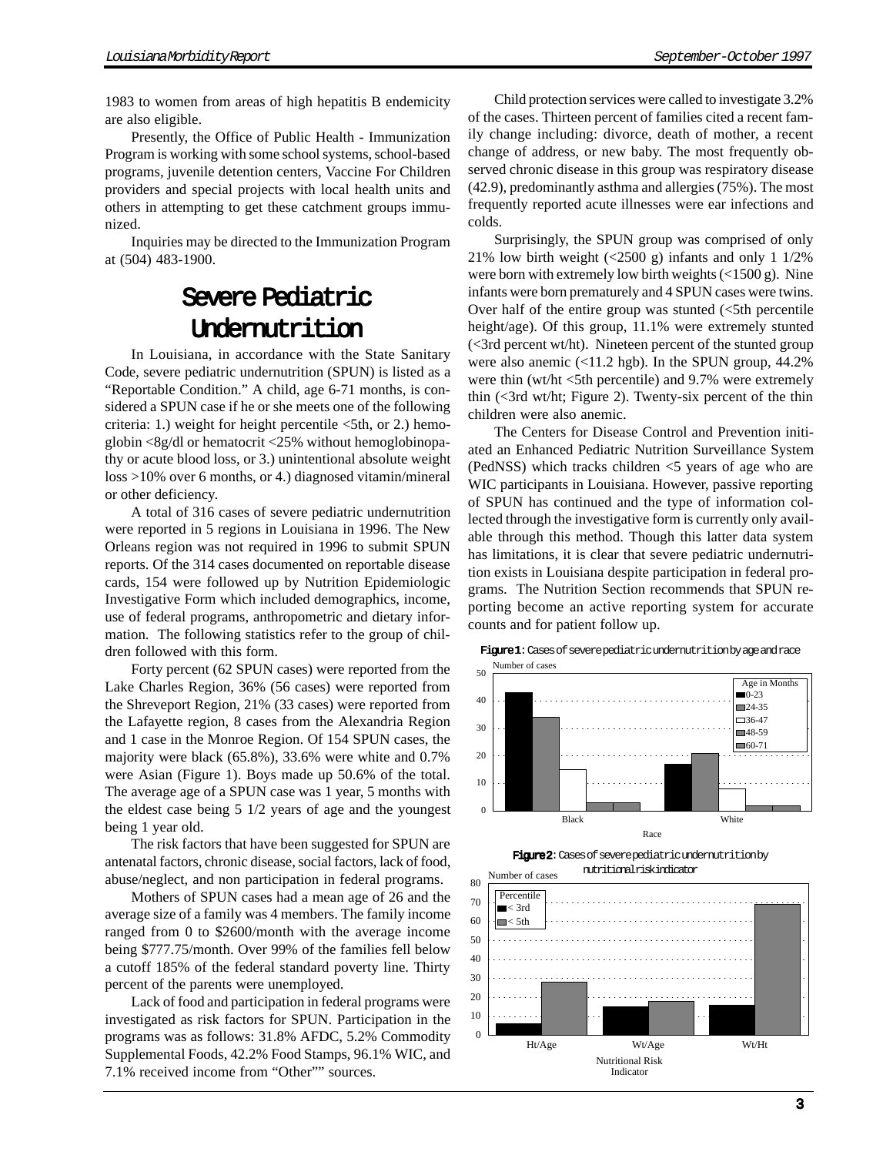1983 to women from areas of high hepatitis B endemicity are also eligible.

Presently, the Office of Public Health - Immunization Program is working with some school systems, school-based programs, juvenile detention centers, Vaccine For Children providers and special projects with local health units and others in attempting to get these catchment groups immunized.

Inquiries may be directed to the Immunization Program at (504) 483-1900.

### **Severe Pediatric** Undernutrition

In Louisiana, in accordance with the State Sanitary Code, severe pediatric undernutrition (SPUN) is listed as a "Reportable Condition." A child, age 6-71 months, is considered a SPUN case if he or she meets one of the following criteria: 1.) weight for height percentile  $\leq 5$ th, or 2.) hemoglobin  $\langle 8g/dl \rangle$  or hematocrit  $\langle 25\% \rangle$  without hemoglobinopathy or acute blood loss, or 3.) unintentional absolute weight loss >10% over 6 months, or 4.) diagnosed vitamin/mineral or other deficiency.

A total of 316 cases of severe pediatric undernutrition were reported in 5 regions in Louisiana in 1996. The New Orleans region was not required in 1996 to submit SPUN reports. Of the 314 cases documented on reportable disease cards, 154 were followed up by Nutrition Epidemiologic Investigative Form which included demographics, income, use of federal programs, anthropometric and dietary information. The following statistics refer to the group of children followed with this form.

Forty percent (62 SPUN cases) were reported from the Lake Charles Region, 36% (56 cases) were reported from the Shreveport Region, 21% (33 cases) were reported from the Lafayette region, 8 cases from the Alexandria Region and 1 case in the Monroe Region. Of 154 SPUN cases, the majority were black (65.8%), 33.6% were white and 0.7% were Asian (Figure 1). Boys made up 50.6% of the total. The average age of a SPUN case was 1 year, 5 months with the eldest case being 5 1/2 years of age and the youngest being 1 year old.

The risk factors that have been suggested for SPUN are antenatal factors, chronic disease, social factors, lack of food, abuse/neglect, and non participation in federal programs.

Mothers of SPUN cases had a mean age of 26 and the average size of a family was 4 members. The family income ranged from 0 to \$2600/month with the average income being \$777.75/month. Over 99% of the families fell below a cutoff 185% of the federal standard poverty line. Thirty percent of the parents were unemployed.

Lack of food and participation in federal programs were investigated as risk factors for SPUN. Participation in the programs was as follows: 31.8% AFDC, 5.2% Commodity Supplemental Foods, 42.2% Food Stamps, 96.1% WIC, and 7.1% received income from "Other"" sources.

Child protection services were called to investigate 3.2% of the cases. Thirteen percent of families cited a recent family change including: divorce, death of mother, a recent change of address, or new baby. The most frequently observed chronic disease in this group was respiratory disease (42.9), predominantly asthma and allergies (75%). The most frequently reported acute illnesses were ear infections and colds.

Surprisingly, the SPUN group was comprised of only 21% low birth weight  $\left($  <2500 g) infants and only 1 1/2% were born with extremely low birth weights (<1500 g). Nine infants were born prematurely and 4 SPUN cases were twins. Over half of the entire group was stunted  $\langle$  5th percentile height/age). Of this group, 11.1% were extremely stunted (<3rd percent wt/ht). Nineteen percent of the stunted group were also anemic (<11.2 hgb). In the SPUN group, 44.2% were thin (wt/ht <5th percentile) and 9.7% were extremely thin (<3rd wt/ht; Figure 2). Twenty-six percent of the thin children were also anemic.

The Centers for Disease Control and Prevention initiated an Enhanced Pediatric Nutrition Surveillance System (PedNSS) which tracks children <5 years of age who are WIC participants in Louisiana. However, passive reporting of SPUN has continued and the type of information collected through the investigative form is currently only available through this method. Though this latter data system has limitations, it is clear that severe pediatric undernutrition exists in Louisiana despite participation in federal programs. The Nutrition Section recommends that SPUN reporting become an active reporting system for accurate counts and for patient follow up.







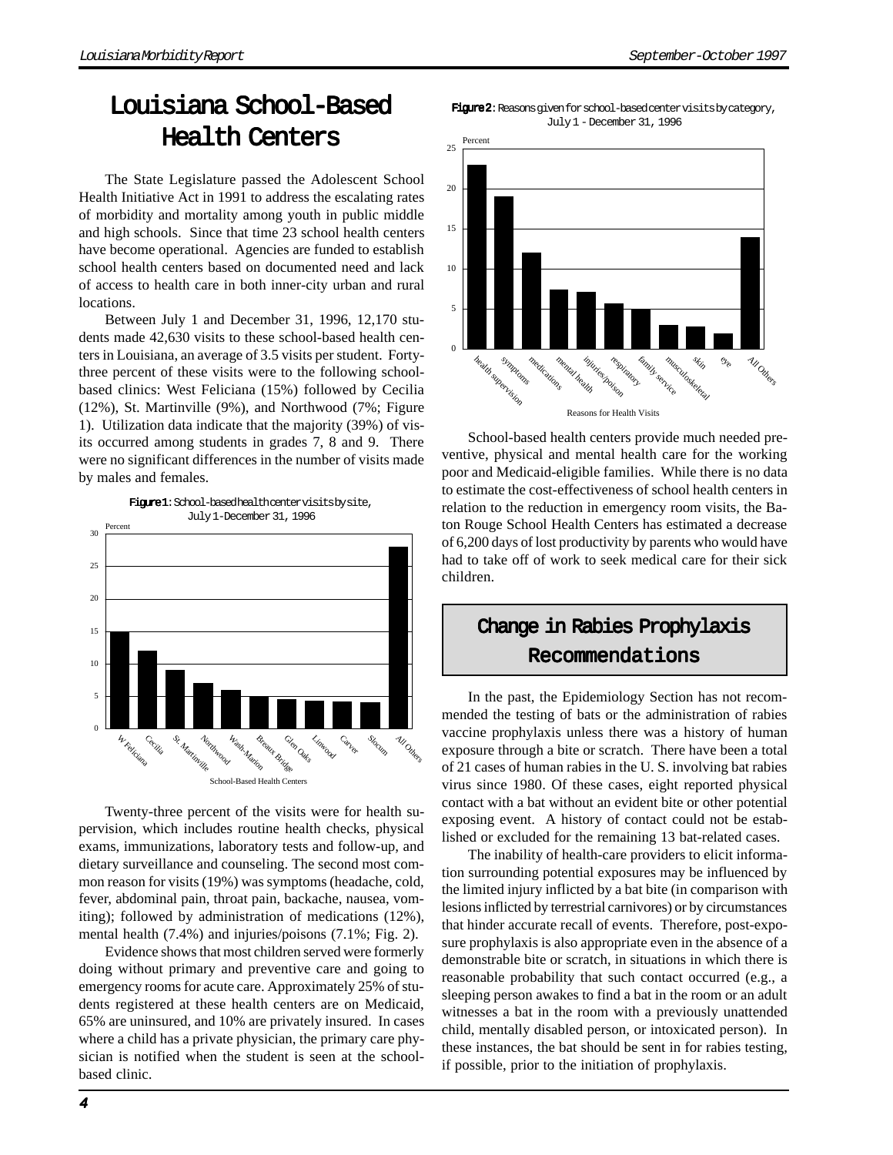# Louisiana School-Based Health Centers

The State Legislature passed the Adolescent School Health Initiative Act in 1991 to address the escalating rates of morbidity and mortality among youth in public middle and high schools. Since that time 23 school health centers have become operational. Agencies are funded to establish school health centers based on documented need and lack of access to health care in both inner-city urban and rural locations.

Between July 1 and December 31, 1996, 12,170 students made 42,630 visits to these school-based health centers in Louisiana, an average of 3.5 visits per student. Fortythree percent of these visits were to the following schoolbased clinics: West Feliciana (15%) followed by Cecilia (12%), St. Martinville (9%), and Northwood (7%; Figure 1). Utilization data indicate that the majority (39%) of visits occurred among students in grades 7, 8 and 9. There were no significant differences in the number of visits made by males and females.



Twenty-three percent of the visits were for health supervision, which includes routine health checks, physical exams, immunizations, laboratory tests and follow-up, and dietary surveillance and counseling. The second most common reason for visits (19%) was symptoms (headache, cold, fever, abdominal pain, throat pain, backache, nausea, vomiting); followed by administration of medications (12%), mental health (7.4%) and injuries/poisons (7.1%; Fig. 2).

Evidence shows that most children served were formerly doing without primary and preventive care and going to emergency rooms for acute care. Approximately 25% of students registered at these health centers are on Medicaid, 65% are uninsured, and 10% are privately insured. In cases where a child has a private physician, the primary care physician is notified when the student is seen at the schoolbased clinic.





School-based health centers provide much needed preventive, physical and mental health care for the working poor and Medicaid-eligible families. While there is no data to estimate the cost-effectiveness of school health centers in relation to the reduction in emergency room visits, the Baton Rouge School Health Centers has estimated a decrease of 6,200 days of lost productivity by parents who would have had to take off of work to seek medical care for their sick children.

# Change in Rabies Prophylaxis Recommendations

In the past, the Epidemiology Section has not recommended the testing of bats or the administration of rabies vaccine prophylaxis unless there was a history of human exposure through a bite or scratch. There have been a total of 21 cases of human rabies in the U. S. involving bat rabies virus since 1980. Of these cases, eight reported physical contact with a bat without an evident bite or other potential exposing event. A history of contact could not be established or excluded for the remaining 13 bat-related cases.

The inability of health-care providers to elicit information surrounding potential exposures may be influenced by the limited injury inflicted by a bat bite (in comparison with lesions inflicted by terrestrial carnivores) or by circumstances that hinder accurate recall of events. Therefore, post-exposure prophylaxis is also appropriate even in the absence of a demonstrable bite or scratch, in situations in which there is reasonable probability that such contact occurred (e.g., a sleeping person awakes to find a bat in the room or an adult witnesses a bat in the room with a previously unattended child, mentally disabled person, or intoxicated person). In these instances, the bat should be sent in for rabies testing, if possible, prior to the initiation of prophylaxis.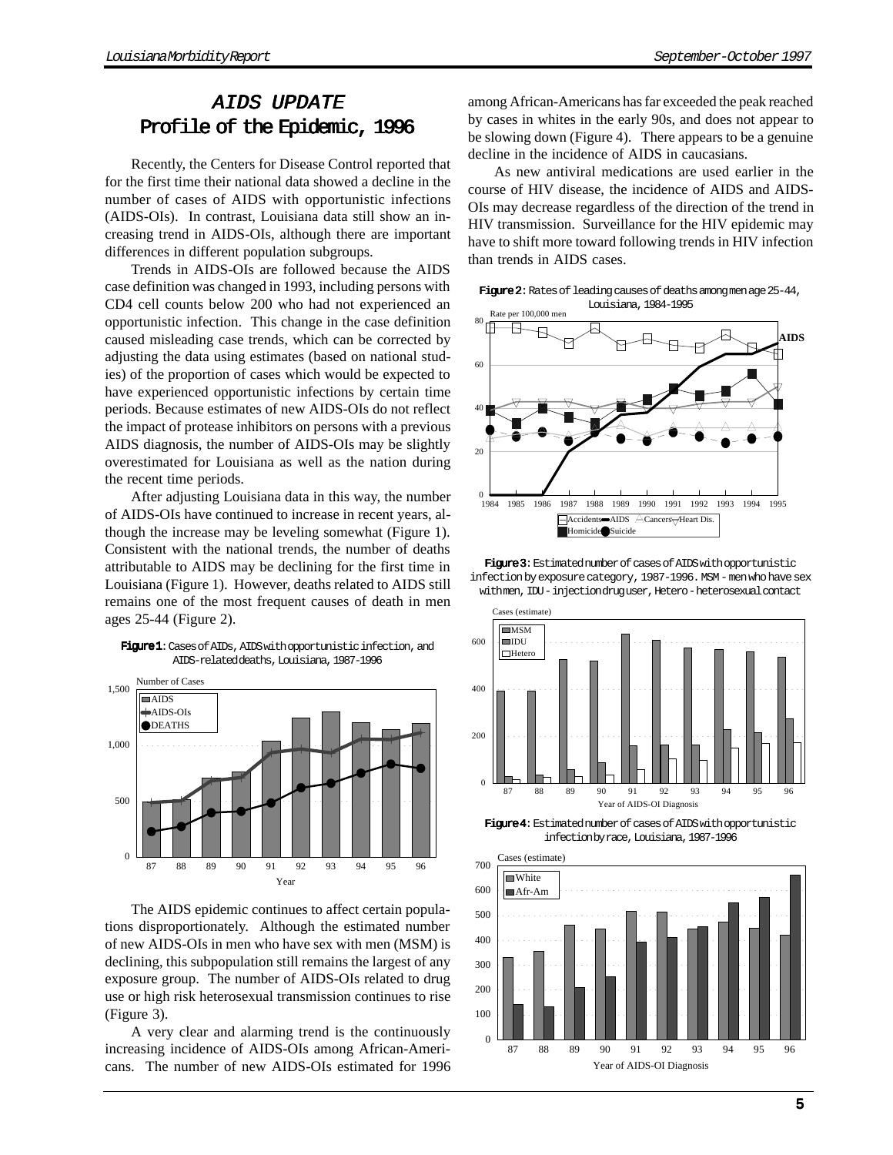### AIDS UPDATE Profile of the Epidemic, 1996

Recently, the Centers for Disease Control reported that for the first time their national data showed a decline in the number of cases of AIDS with opportunistic infections (AIDS-OIs). In contrast, Louisiana data still show an increasing trend in AIDS-OIs, although there are important differences in different population subgroups.

Trends in AIDS-OIs are followed because the AIDS case definition was changed in 1993, including persons with CD4 cell counts below 200 who had not experienced an opportunistic infection. This change in the case definition caused misleading case trends, which can be corrected by adjusting the data using estimates (based on national studies) of the proportion of cases which would be expected to have experienced opportunistic infections by certain time periods. Because estimates of new AIDS-OIs do not reflect the impact of protease inhibitors on persons with a previous AIDS diagnosis, the number of AIDS-OIs may be slightly overestimated for Louisiana as well as the nation during the recent time periods.

After adjusting Louisiana data in this way, the number of AIDS-OIs have continued to increase in recent years, although the increase may be leveling somewhat (Figure 1). Consistent with the national trends, the number of deaths attributable to AIDS may be declining for the first time in Louisiana (Figure 1). However, deaths related to AIDS still remains one of the most frequent causes of death in men ages 25-44 (Figure 2).





The AIDS epidemic continues to affect certain populations disproportionately. Although the estimated number of new AIDS-OIs in men who have sex with men (MSM) is declining, this subpopulation still remains the largest of any exposure group. The number of AIDS-OIs related to drug use or high risk heterosexual transmission continues to rise (Figure 3).

A very clear and alarming trend is the continuously increasing incidence of AIDS-OIs among African-Americans. The number of new AIDS-OIs estimated for 1996 among African-Americans has far exceeded the peak reached by cases in whites in the early 90s, and does not appear to be slowing down (Figure 4). There appears to be a genuine decline in the incidence of AIDS in caucasians.

As new antiviral medications are used earlier in the course of HIV disease, the incidence of AIDS and AIDS-OIs may decrease regardless of the direction of the trend in HIV transmission. Surveillance for the HIV epidemic may have to shift more toward following trends in HIV infection than trends in AIDS cases.

Figure 2: Rates of leading causes of deaths among men age 25-44, Louisiana, 1984-1995



Figure 3: Estimated number of cases of AIDS with opportunistic infection by exposure category, 1987-1996. MSM - men who have sex with men, IDU - injection drug user, Hetero - heterosexual contact



Figure 4: Estimated number of cases of AIDS with opportunistic infection by race, Louisiana, 1987-1996

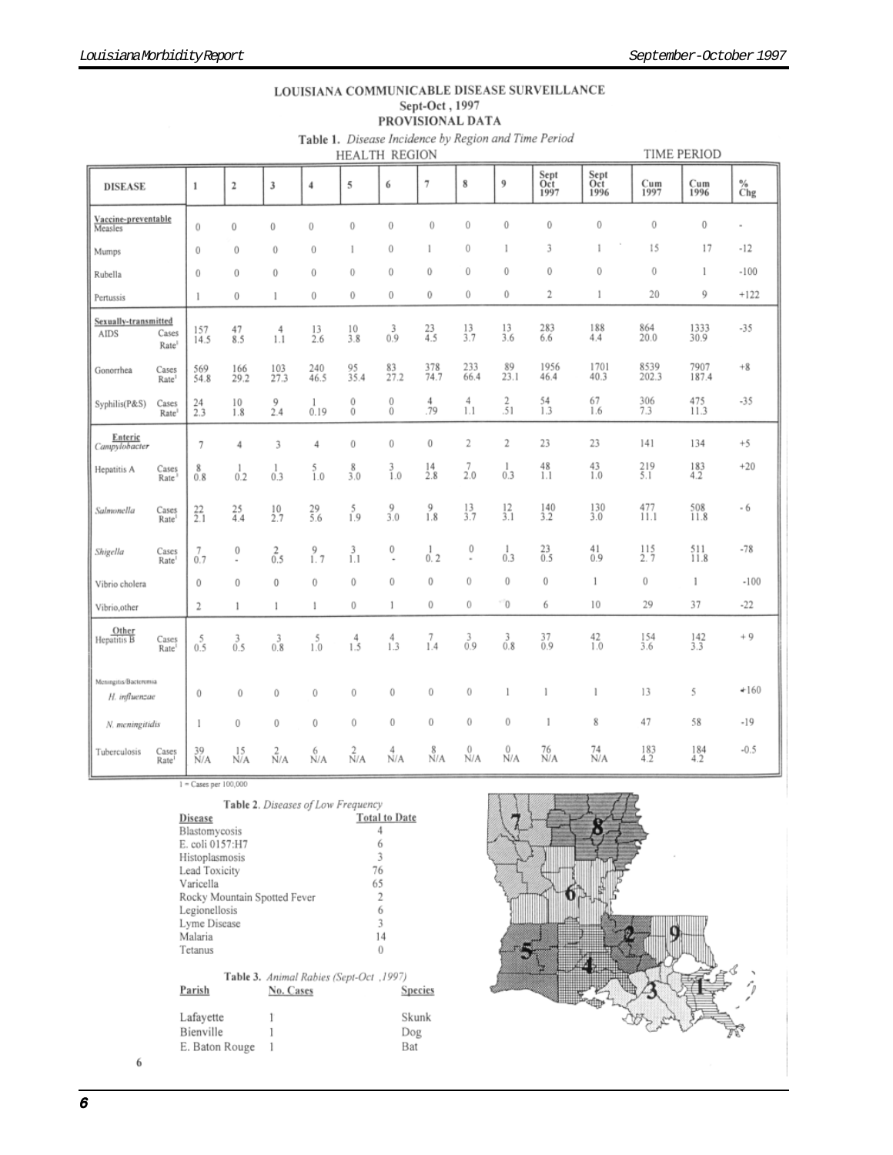|                                        | Table 1. Disease Incidence by Region and Time Period<br>TIME PERIOD<br><b>HEALTH REGION</b> |               |                     |                 |                 |                 |                               |               |                  |               |                     |                                          |                 |                  |          |
|----------------------------------------|---------------------------------------------------------------------------------------------|---------------|---------------------|-----------------|-----------------|-----------------|-------------------------------|---------------|------------------|---------------|---------------------|------------------------------------------|-----------------|------------------|----------|
| <b>DISEASE</b>                         |                                                                                             | $\,1$         | $\mathbf 2$         | 3               | $\overline{4}$  | 5               | 6                             | 7             | 8                | 9             | Sept<br>Oct<br>1997 | Sept<br>$\frac{\text{Oct}}{\text{1996}}$ | Cum<br>1997     | Cum<br>1996      | %<br>Chg |
| Vaccine-preventable<br>Measles         |                                                                                             | $\theta$      | 0                   | 0               | 0               | $\bf{0}$        | $\bf{0}$                      | $\bf{0}$      | 0                | 0             | $\bf{0}$            | $\theta$                                 | $\bf{0}$        | $\boldsymbol{0}$ | $\alpha$ |
| Mumps                                  |                                                                                             | $\theta$      | $\theta$            | $\bf{0}$        | $\bf{0}$        | 1               | $\bf{0}$                      | 1             | 0                |               | 3                   |                                          | 15              | 17               | -12      |
| Rubella                                |                                                                                             | $\theta$      | $\theta$            | $\bf{0}$        | 0               | $\theta$        | $\bf{0}$                      | 0             | $\bf{0}$         | $\bf{0}$      | $\mathbf 0$         | $\theta$                                 | 0               | 1                | $-100$   |
| Pertussis                              |                                                                                             | 1             | $\bf{0}$            | 1               | $\theta$        | $\theta$        | 0                             | 0             | 0                | 0             | 2                   | $\mathbf{1}$                             | 20              | 9                | $+122$   |
| Sexually-transmitted<br>AIDS           | Cases<br>Rate <sup>1</sup>                                                                  | 157<br>14.5   | 47<br>8.5           | 4<br>1.1        | 13<br>2.6       | 10<br>3.8       | 3<br>0.9                      | $^{23}_{4.5}$ | 13<br>3.7        | 13<br>3.6     | 283<br>6.6          | 188<br>4.4                               | 864<br>20.0     | 1333<br>30.9     | $-35$    |
| Gonorrhea                              | Cases<br>Rate <sup>1</sup>                                                                  | 569<br>54.8   | 166<br>29.2         | 103<br>27.3     | 240<br>46.5     | 95<br>35.4      | 83<br>27.2                    | 378<br>74.7   | 233<br>66.4      | 89<br>23.1    | 1956<br>46.4        | 1701<br>40.3                             | 8539<br>202.3   | 7907<br>187.4    | $+8$     |
| Syphilis(P&S)                          | Cases<br>Rate <sup>1</sup>                                                                  | 24<br>2.3     | 10<br>1.8           | 9<br>2.4        | 1<br>0.19       | 0<br>$\theta$   | 0<br>$\bf{0}$                 | 4<br>.79      | 4<br>1.1         | 2<br>.51      | 54<br>1.3           | 67<br>1.6                                | 306<br>7.3      | 475<br>11.3      | $-35$    |
| Enteric<br>Campylobacter               |                                                                                             | 7             | 4                   | 3               | 4               | $\theta$        | $\bf{0}$                      | 0             | 2                | 2             | 23                  | 23                                       | 141             | 134              | $+5$     |
| Hepatitis A                            | Cases<br>Rate                                                                               | 8<br>0.8      | 1<br>0.2            | 1<br>0.3        | $\frac{5}{1.0}$ | 8<br>3.0        | $\frac{3}{1.0}$               | 14<br>2.8     | 7<br>2.0         | 1<br>0.3      | 48<br>ĩЛ            | 43<br>1.0                                | $^{219}_{5.1}$  | $^{183}_{4.2}$   | $+20$    |
| Salmonella                             | Cases<br>Rate                                                                               | $^{22}_{2.1}$ | $^{25}_{4.4}$       | $^{10}_{2.7}$   | $^{29}_{5.6}$   | $^{5}_{1.9}$    | $^{9}_{3.0}$                  | 9<br>1.8      | $\frac{13}{3.7}$ | $^{12}_{3.1}$ | $\frac{140}{3.2}$   | $^{130}_{3.0}$                           | $^{477}_{11.1}$ | $^{508}_{11.8}$  | - 6      |
| Shigella                               | Cases<br>Rate <sup>1</sup>                                                                  | 7<br>0.7      | 0<br>$\overline{a}$ | $rac{2}{0.5}$   | $^{9}_{1.7}$    | $\frac{3}{1.1}$ | 0<br>$\overline{\phantom{a}}$ | 1<br>0.2      | 0<br>$\bar{a}$   | 1<br>0.3      | $^{23}_{0.5}$       | $^{41}_{0.9}$                            | 115<br>2.7      | 511<br>11.8      | $-78$    |
| Vibrio cholera                         |                                                                                             | 0             | 0                   | $\bf{0}$        | $\bf{0}$        | 0               | $\theta$                      | 0             | 0                | 0             | $\bf{0}$            | 1                                        | 0               | 1                | $-100$   |
| Vibrio, other                          |                                                                                             | 2             | 1                   | 1               | 1               | $\theta$        | 1                             | 0             | 0                | $\theta$      | 6                   | 10                                       | 29              | 37               | $-22$    |
| Other<br>Hepatitis B                   | Cases<br>Rate                                                                               | $^{5}_{0.5}$  | $\frac{3}{0.5}$     | 3<br>0.8        | 5<br>1.0        | 4<br>1.5        | 4<br>1.3                      | 7<br>1.4      | $\frac{3}{0.9}$  | $^{3}_{0.8}$  | $^{37}_{0.9}$       | $^{42}_{1.0}$                            | 154<br>3.6      | $^{142}_{3.3}$   | $+9$     |
| Meningitis/Bacteremia<br>H. influenzae |                                                                                             | 0             | 0                   | 0               | 0               | $\bf{0}$        | $\bf{0}$                      | $\,0$         | 0                | 1             | 1                   | 1                                        | 13              | 5                | $+160$   |
| N. meningitidis                        |                                                                                             | 1             | 0                   | $\bf{0}$        | $\bf{0}$        | $\theta$        | $\mathbf 0$                   | $\bf{0}$      | 0                | 0             | 1                   | 8                                        | 47              | 58               | $-19$    |
| Tuberculosis                           | Cases<br>Dote                                                                               | 39<br>N/A     | 15<br>N/A           | $\frac{2}{N/A}$ | 6<br>N/A        | $\frac{2}{N/A}$ | $\frac{4}{N/A}$               | 8<br>N/A      | 0<br>N/A         | 0<br>N/A      | 76<br>N/A           | 74<br>N/A                                | 183<br>42       | 184<br>42        | $-0.5$   |

LOUISIANA COMMUNICABLE DISEASE SURVEILLANCE<br>
Sept-Oct, 1997<br>
PROVISIONAL DATA

 $1 -$ Cases per  $100,000$ 

|                              | <b>Table 2.</b> Diseases of Low Frequency             |                      |                |
|------------------------------|-------------------------------------------------------|----------------------|----------------|
| Disease                      |                                                       | <b>Total to Date</b> |                |
| Blastomycosis                |                                                       | 4                    |                |
| E. coli 0157:H7              |                                                       | 6                    |                |
| Histoplasmosis               |                                                       | 3                    |                |
| Lead Toxicity                |                                                       | 76                   |                |
| Varicella                    |                                                       | 65                   |                |
| Rocky Mountain Spotted Fever |                                                       | 2                    |                |
| Legionellosis                |                                                       | 6                    |                |
| Lyme Disease                 |                                                       | 3                    |                |
| Malaria                      |                                                       | 14                   |                |
| Tetanus                      |                                                       | 0                    |                |
| Parish                       | Table 3. Animal Rabies (Sept-Oct , 1997)<br>No. Cases |                      | <b>Species</b> |
| Lafayette                    |                                                       |                      | Skunk          |
| Bienville                    |                                                       |                      | Dog            |
| E. Baton Rouge               |                                                       |                      | Bat            |



 $\sqrt{6}$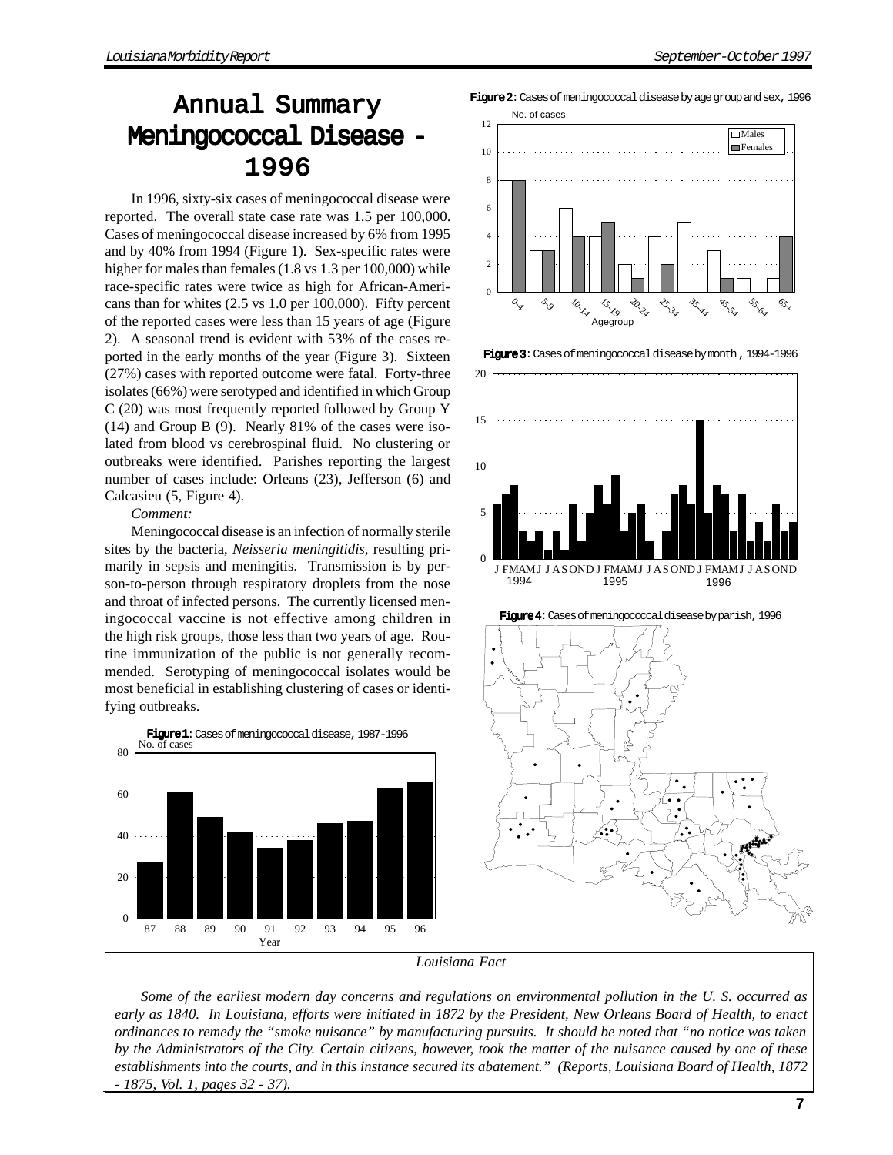# Annual Summary Meningococcal Disease 1996

In 1996, sixty-six cases of meningococcal disease were reported. The overall state case rate was 1.5 per 100,000. Cases of meningococcal disease increased by 6% from 1995 and by 40% from 1994 (Figure 1). Sex-specific rates were higher for males than females (1.8 vs 1.3 per 100,000) while race-specific rates were twice as high for African-Americans than for whites (2.5 vs 1.0 per 100,000). Fifty percent of the reported cases were less than 15 years of age (Figure 2). A seasonal trend is evident with 53% of the cases reported in the early months of the year (Figure 3). Sixteen (27%) cases with reported outcome were fatal. Forty-three isolates (66%) were serotyped and identified in which Group C (20) was most frequently reported followed by Group Y (14) and Group B (9). Nearly 81% of the cases were isolated from blood vs cerebrospinal fluid. No clustering or outbreaks were identified. Parishes reporting the largest number of cases include: Orleans (23), Jefferson (6) and Calcasieu (5, Figure 4).

*Comment:*

Meningococcal disease is an infection of normally sterile sites by the bacteria, *Neisseria meningitidis*, resulting primarily in sepsis and meningitis. Transmission is by person-to-person through respiratory droplets from the nose and throat of infected persons. The currently licensed meningococcal vaccine is not effective among children in the high risk groups, those less than two years of age. Routine immunization of the public is not generally recommended. Serotyping of meningococcal isolates would be most beneficial in establishing clustering of cases or identifying outbreaks.



Figure 2: Cases of meningococcal disease by age group and sex, 1996



Figure 3: Cases of meningococcal disease by month , 1994-1996





*Louisiana Fact*

*Some of the earliest modern day concerns and regulations on environmental pollution in the U. S. occurred as early as 1840. In Louisiana, efforts were initiated in 1872 by the President, New Orleans Board of Health, to enact ordinances to remedy the "smoke nuisance" by manufacturing pursuits. It should be noted that "no notice was taken by the Administrators of the City. Certain citizens, however, took the matter of the nuisance caused by one of these establishments into the courts, and in this instance secured its abatement." (Reports, Louisiana Board of Health, 1872 - 1875, Vol. 1, pages 32 - 37).*